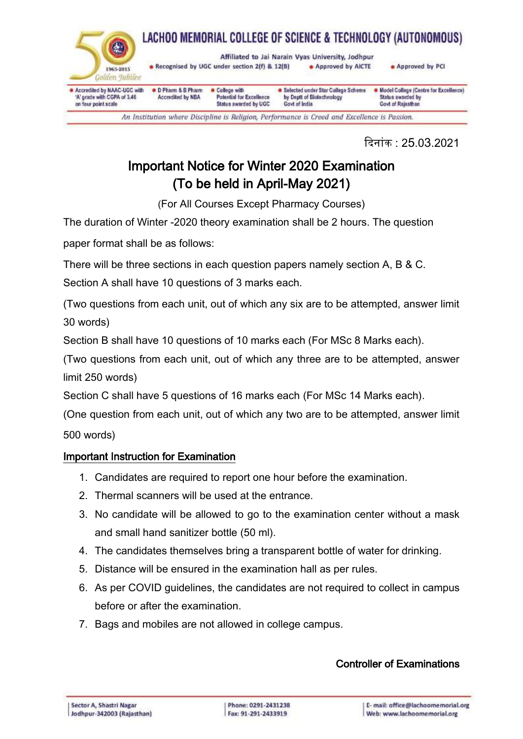

दिन ांक : 25.03.2021

## Important Notice for Winter 2020 Examination (To be held in April-May 2021)

(For All Courses Except Pharmacy Courses)

The duration of Winter -2020 theory examination shall be 2 hours. The question

paper format shall be as follows:

There will be three sections in each question papers namely section A, B & C.

Section A shall have 10 questions of 3 marks each.

(Two questions from each unit, out of which any six are to be attempted, answer limit 30 words)

Section B shall have 10 questions of 10 marks each (For MSc 8 Marks each).

(Two questions from each unit, out of which any three are to be attempted, answer limit 250 words)

Section C shall have 5 questions of 16 marks each (For MSc 14 Marks each).

(One question from each unit, out of which any two are to be attempted, answer limit 500 words)

### Important Instruction for Examination

- 1. Candidates are required to report one hour before the examination.
- 2. Thermal scanners will be used at the entrance.
- 3. No candidate will be allowed to go to the examination center without a mask and small hand sanitizer bottle (50 ml).
- 4. The candidates themselves bring a transparent bottle of water for drinking.
- 5. Distance will be ensured in the examination hall as per rules.
- 6. As per COVID guidelines, the candidates are not required to collect in campus before or after the examination.
- 7. Bags and mobiles are not allowed in college campus.

### Controller of Examinations